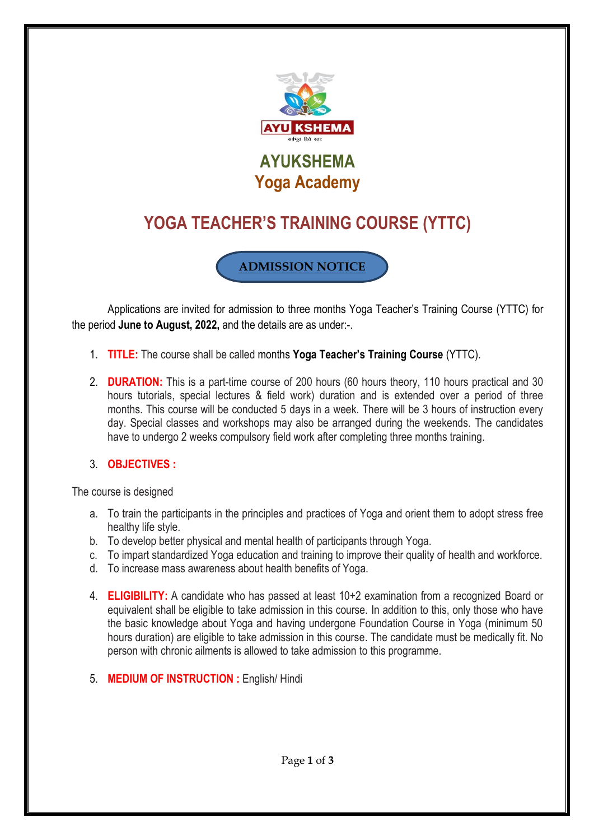

# **YOGA TEACHER'S TRAINING COURSE (YTTC)**

**ADMISSION NOTICE**

Applications are invited for admission to three months Yoga Teacher's Training Course (YTTC) for the period **June to August, 2022,** and the details are as under:-.

- 1. **TITLE:** The course shall be called months **Yoga Teacher's Training Course** (YTTC).
- 2. **DURATION:** This is a part-time course of 200 hours (60 hours theory, 110 hours practical and 30 hours tutorials, special lectures & field work) duration and is extended over a period of three months. This course will be conducted 5 days in a week. There will be 3 hours of instruction every day. Special classes and workshops may also be arranged during the weekends. The candidates have to undergo 2 weeks compulsory field work after completing three months training.
- 3. **OBJECTIVES :**

The course is designed

- a. To train the participants in the principles and practices of Yoga and orient them to adopt stress free healthy life style.
- b. To develop better physical and mental health of participants through Yoga.
- c. To impart standardized Yoga education and training to improve their quality of health and workforce.
- d. To increase mass awareness about health benefits of Yoga.
- 4. **ELIGIBILITY:** A candidate who has passed at least 10+2 examination from a recognized Board or equivalent shall be eligible to take admission in this course. In addition to this, only those who have the basic knowledge about Yoga and having undergone Foundation Course in Yoga (minimum 50 hours duration) are eligible to take admission in this course. The candidate must be medically fit. No person with chronic ailments is allowed to take admission to this programme.
- 5. **MEDIUM OF INSTRUCTION :** English/ Hindi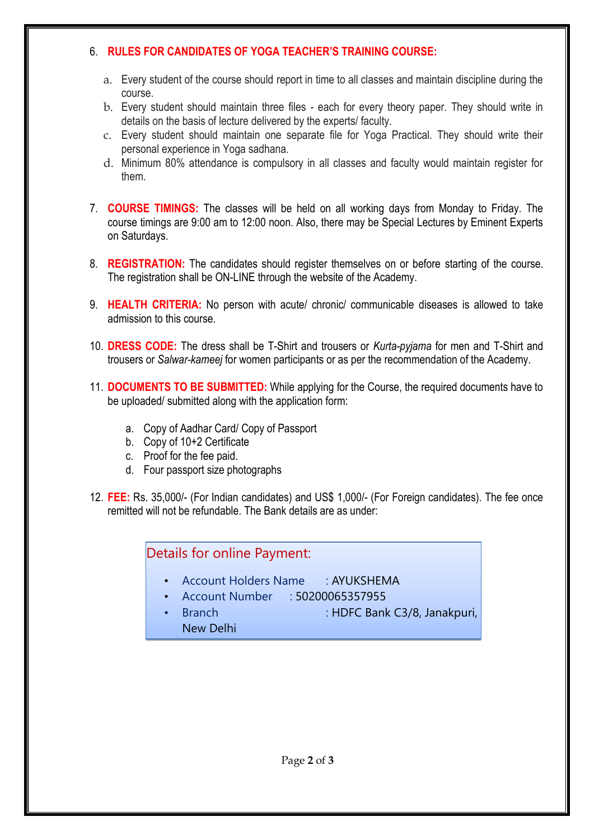### 6. **RULES FOR CANDIDATES OF YOGA TEACHER'S TRAINING COURSE:**

- a. Every student of the course should report in time to all classes and maintain discipline during the course.
- b. Every student should maintain three files each for every theory paper. They should write in details on the basis of lecture delivered by the experts/ faculty.
- c. Every student should maintain one separate file for Yoga Practical. They should write their personal experience in Yoga sadhana.
- d. Minimum 80% attendance is compulsory in all classes and faculty would maintain register for them.
- 7. **COURSE TIMINGS:** The classes will be held on all working days from Monday to Friday. The course timings are 9:00 am to 12:00 noon. Also, there may be Special Lectures by Eminent Experts on Saturdays.
- 8. **REGISTRATION:** The candidates should register themselves on or before starting of the course. The registration shall be ON-LINE through the website of the Academy.
- 9. **HEALTH CRITERIA:** No person with acute/ chronic/ communicable diseases is allowed to take admission to this course.
- 10. **DRESS CODE:** The dress shall be T-Shirt and trousers or *Kurta-pyjama* for men and T-Shirt and trousers or *Salwar-kameej* for women participants or as per the recommendation of the Academy.
- 11. **DOCUMENTS TO BE SUBMITTED:** While applying for the Course, the required documents have to be uploaded/ submitted along with the application form:
	- a. Copy of Aadhar Card/ Copy of Passport
	- b. Copy of 10+2 Certificate
	- c. Proof for the fee paid.
	- d. Four passport size photographs
- 12. **FEE:** Rs. 35,000/- (For Indian candidates) and US\$ 1,000/- (For Foreign candidates). The fee once remitted will not be refundable. The Bank details are as under:

## Details for online Payment:

- Account Holders Name : AYUKSHEMA
- Account Number : 50200065357955

<u>• IFSC Code : HDFC 0001067</u>

• Branch : HDFC Bank C3/8, Janakpuri, New Delhi